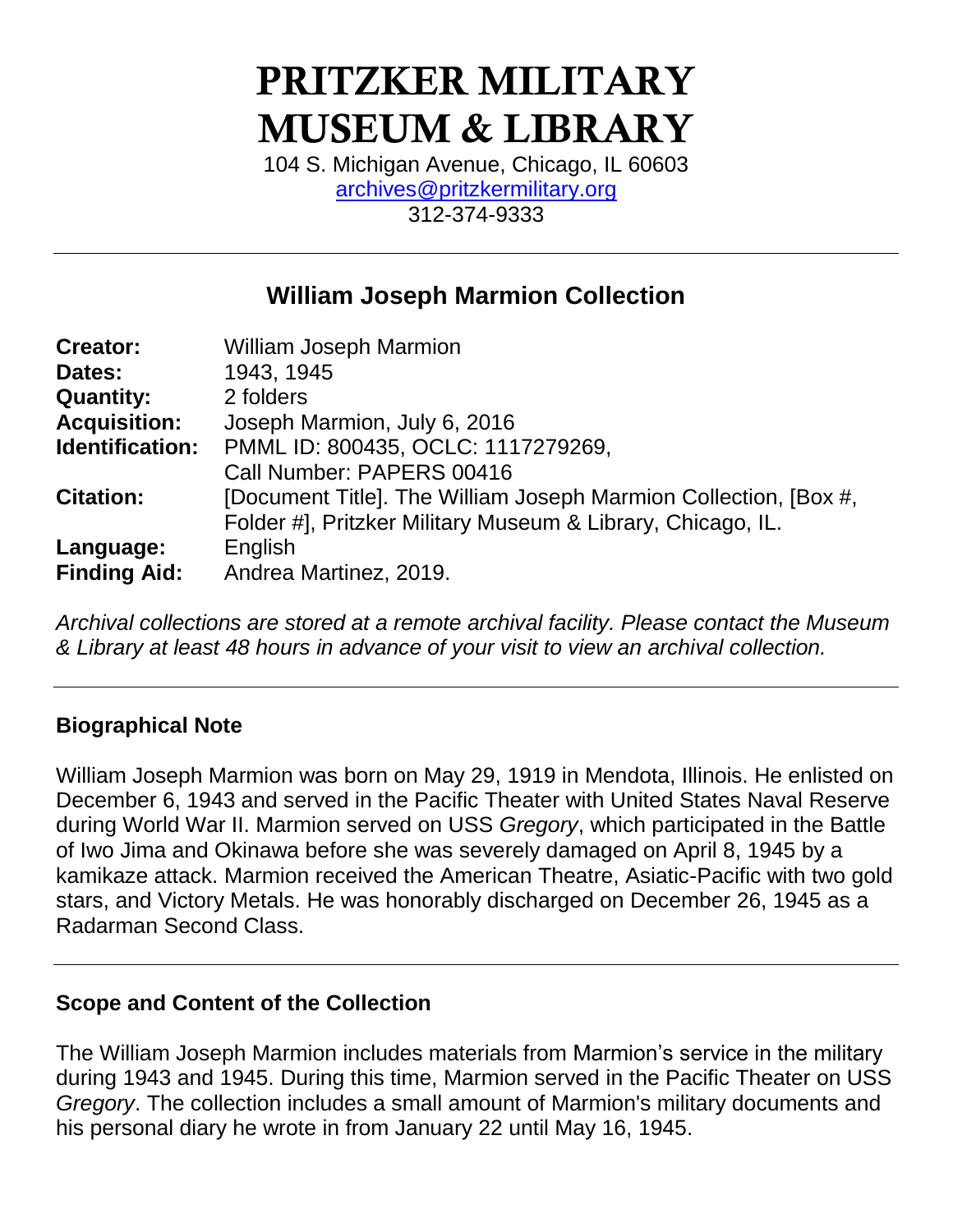# PRITZKER MILITARY MUSEUM & LIBRARY

104 S. Michigan Avenue, Chicago, IL 60603 [archives@pritzkermilitary.org](mailto:archives@pritzkermilitary.org) 312-374-9333

# **William Joseph Marmion Collection**

| <b>Creator:</b>     | <b>William Joseph Marmion</b>                                    |
|---------------------|------------------------------------------------------------------|
| Dates:              | 1943, 1945                                                       |
| <b>Quantity:</b>    | 2 folders                                                        |
| <b>Acquisition:</b> | Joseph Marmion, July 6, 2016                                     |
| Identification:     | PMML ID: 800435, OCLC: 1117279269,                               |
|                     | Call Number: PAPERS 00416                                        |
| <b>Citation:</b>    | [Document Title]. The William Joseph Marmion Collection, [Box #, |
|                     | Folder #], Pritzker Military Museum & Library, Chicago, IL.      |
| Language:           | English                                                          |
| <b>Finding Aid:</b> | Andrea Martinez, 2019.                                           |

*Archival collections are stored at a remote archival facility. Please contact the Museum & Library at least 48 hours in advance of your visit to view an archival collection.*

### **Biographical Note**

William Joseph Marmion was born on May 29, 1919 in Mendota, Illinois. He enlisted on December 6, 1943 and served in the Pacific Theater with United States Naval Reserve during World War II. Marmion served on USS *Gregory*, which participated in the Battle of Iwo Jima and Okinawa before she was severely damaged on April 8, 1945 by a kamikaze attack. Marmion received the American Theatre, Asiatic-Pacific with two gold stars, and Victory Metals. He was honorably discharged on December 26, 1945 as a Radarman Second Class.

### **Scope and Content of the Collection**

The William Joseph Marmion includes materials from Marmion's service in the military during 1943 and 1945. During this time, Marmion served in the Pacific Theater on USS *Gregory*. The collection includes a small amount of Marmion's military documents and his personal diary he wrote in from January 22 until May 16, 1945.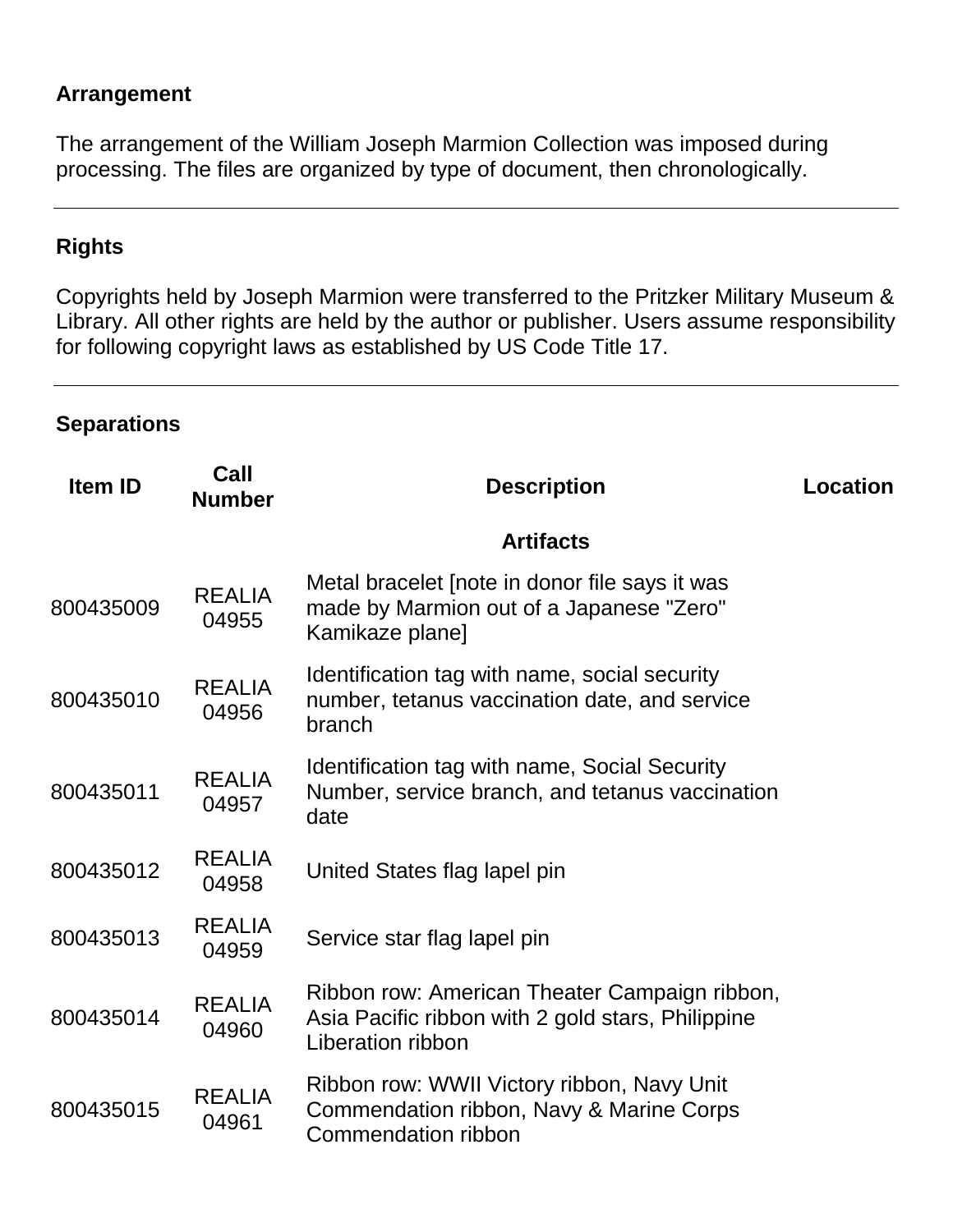#### **Arrangement**

The arrangement of the William Joseph Marmion Collection was imposed during processing. The files are organized by type of document, then chronologically.

## **Rights**

Copyrights held by Joseph Marmion were transferred to the Pritzker Military Museum & Library. All other rights are held by the author or publisher. Users assume responsibility for following copyright laws as established by US Code Title 17.

#### **Separations**

| <b>Item ID</b> | Call<br><b>Number</b>  | <b>Description</b>                                                                                                      | <b>Location</b> |
|----------------|------------------------|-------------------------------------------------------------------------------------------------------------------------|-----------------|
|                |                        | <b>Artifacts</b>                                                                                                        |                 |
| 800435009      | <b>REALIA</b><br>04955 | Metal bracelet [note in donor file says it was<br>made by Marmion out of a Japanese "Zero"<br>Kamikaze plane]           |                 |
| 800435010      | <b>REALIA</b><br>04956 | Identification tag with name, social security<br>number, tetanus vaccination date, and service<br>branch                |                 |
| 800435011      | <b>REALIA</b><br>04957 | Identification tag with name, Social Security<br>Number, service branch, and tetanus vaccination<br>date                |                 |
| 800435012      | <b>REALIA</b><br>04958 | United States flag lapel pin                                                                                            |                 |
| 800435013      | <b>REALIA</b><br>04959 | Service star flag lapel pin                                                                                             |                 |
| 800435014      | <b>REALIA</b><br>04960 | Ribbon row: American Theater Campaign ribbon,<br>Asia Pacific ribbon with 2 gold stars, Philippine<br>Liberation ribbon |                 |
| 800435015      | <b>REALIA</b><br>04961 | Ribbon row: WWII Victory ribbon, Navy Unit<br>Commendation ribbon, Navy & Marine Corps<br>Commendation ribbon           |                 |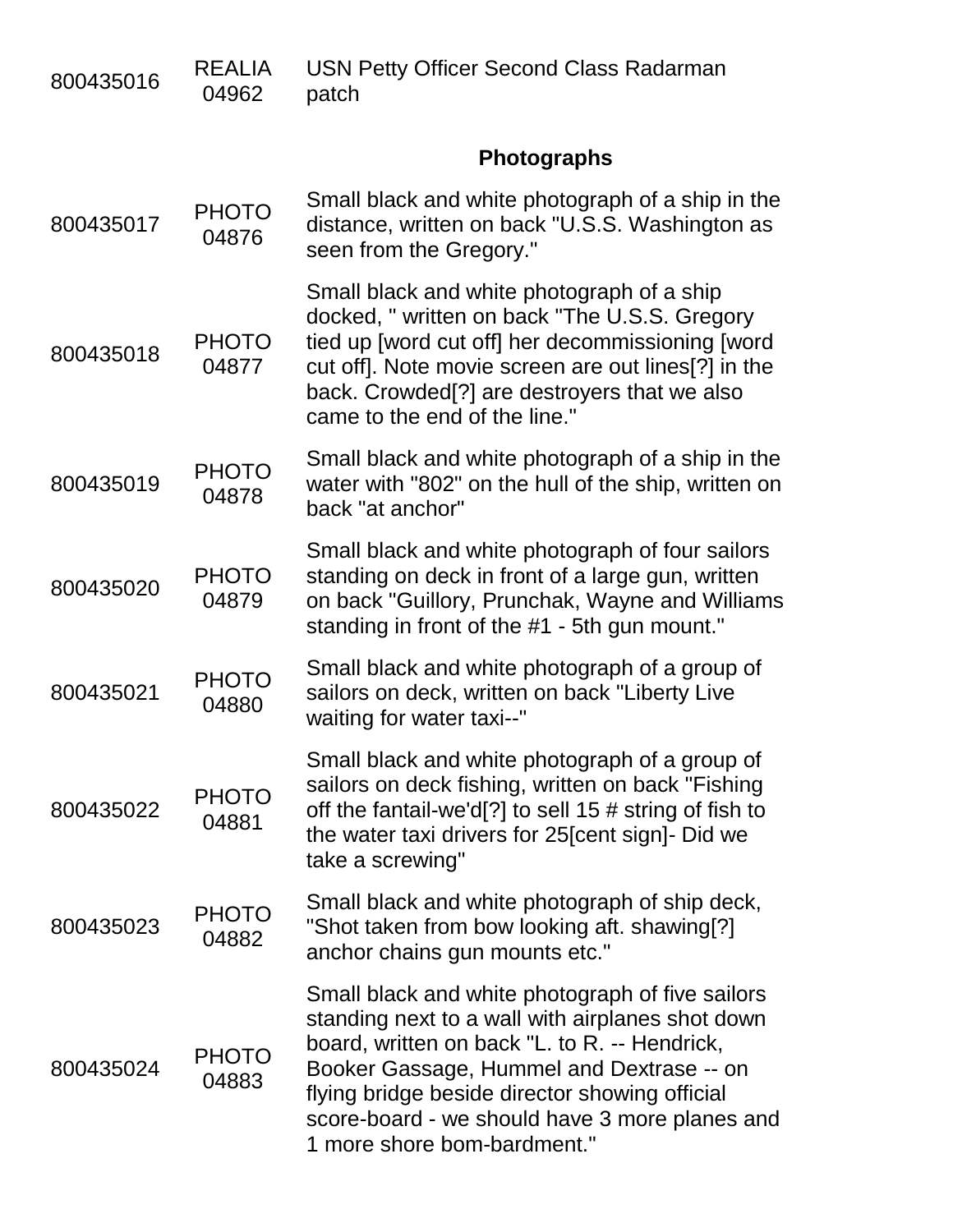| 800435016 | <b>REALIA</b><br>04962 | <b>USN Petty Officer Second Class Radarman</b><br>patch                                                                                                                                                                                                                                                                               |
|-----------|------------------------|---------------------------------------------------------------------------------------------------------------------------------------------------------------------------------------------------------------------------------------------------------------------------------------------------------------------------------------|
|           |                        | <b>Photographs</b>                                                                                                                                                                                                                                                                                                                    |
| 800435017 | <b>PHOTO</b><br>04876  | Small black and white photograph of a ship in the<br>distance, written on back "U.S.S. Washington as<br>seen from the Gregory."                                                                                                                                                                                                       |
| 800435018 | <b>PHOTO</b><br>04877  | Small black and white photograph of a ship<br>docked, " written on back "The U.S.S. Gregory<br>tied up [word cut off] her decommissioning [word<br>cut off]. Note movie screen are out lines[?] in the<br>back. Crowded <sup>[2]</sup> are destroyers that we also<br>came to the end of the line."                                   |
| 800435019 | <b>PHOTO</b><br>04878  | Small black and white photograph of a ship in the<br>water with "802" on the hull of the ship, written on<br>back "at anchor"                                                                                                                                                                                                         |
| 800435020 | <b>PHOTO</b><br>04879  | Small black and white photograph of four sailors<br>standing on deck in front of a large gun, written<br>on back "Guillory, Prunchak, Wayne and Williams<br>standing in front of the #1 - 5th gun mount."                                                                                                                             |
| 800435021 | <b>PHOTO</b><br>04880  | Small black and white photograph of a group of<br>sailors on deck, written on back "Liberty Live<br>waiting for water taxi--"                                                                                                                                                                                                         |
| 800435022 | <b>PHOTO</b><br>04881  | Small black and white photograph of a group of<br>sailors on deck fishing, written on back "Fishing<br>off the fantail-we'd[?] to sell 15 $\#$ string of fish to<br>the water taxi drivers for 25 [cent sign] - Did we<br>take a screwing"                                                                                            |
| 800435023 | <b>PHOTO</b><br>04882  | Small black and white photograph of ship deck,<br>"Shot taken from bow looking aft. shawing[?]<br>anchor chains gun mounts etc."                                                                                                                                                                                                      |
| 800435024 | <b>PHOTO</b><br>04883  | Small black and white photograph of five sailors<br>standing next to a wall with airplanes shot down<br>board, written on back "L. to R. -- Hendrick,<br>Booker Gassage, Hummel and Dextrase -- on<br>flying bridge beside director showing official<br>score-board - we should have 3 more planes and<br>1 more shore bom-bardment." |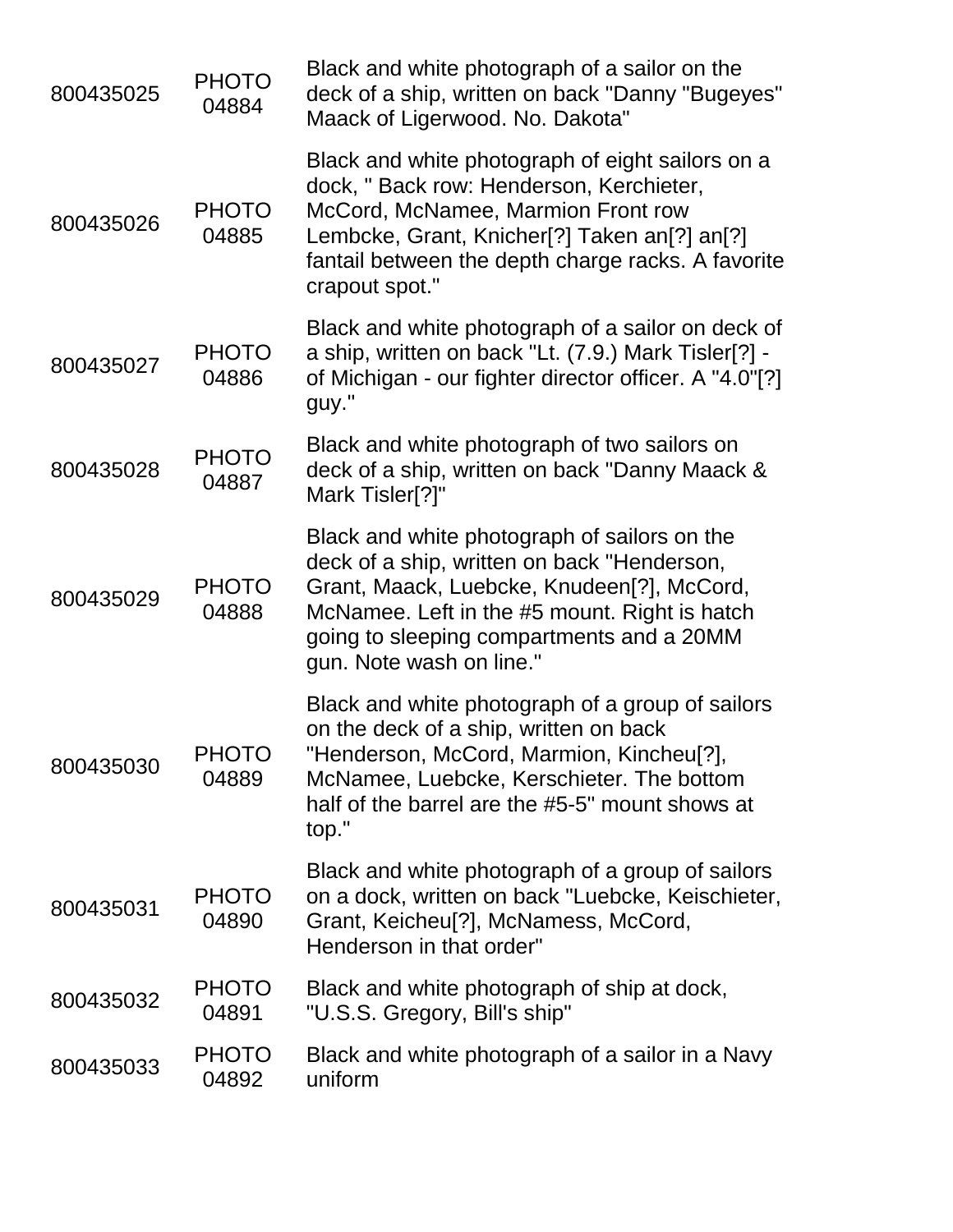| 800435025 | <b>PHOTO</b><br>04884 | Black and white photograph of a sailor on the<br>deck of a ship, written on back "Danny "Bugeyes"<br>Maack of Ligerwood. No. Dakota"                                                                                                                                                           |
|-----------|-----------------------|------------------------------------------------------------------------------------------------------------------------------------------------------------------------------------------------------------------------------------------------------------------------------------------------|
| 800435026 | <b>PHOTO</b><br>04885 | Black and white photograph of eight sailors on a<br>dock, " Back row: Henderson, Kerchieter,<br>McCord, McNamee, Marmion Front row<br>Lembcke, Grant, Knicher <sup>[?]</sup> Taken an <sup>[?]</sup> an <sup>[?]</sup><br>fantail between the depth charge racks. A favorite<br>crapout spot." |
| 800435027 | <b>PHOTO</b><br>04886 | Black and white photograph of a sailor on deck of<br>a ship, written on back "Lt. (7.9.) Mark Tisler[?] -<br>of Michigan - our fighter director officer. A "4.0"[?]<br>guy."                                                                                                                   |
| 800435028 | <b>PHOTO</b><br>04887 | Black and white photograph of two sailors on<br>deck of a ship, written on back "Danny Maack &<br>Mark Tisler[?]"                                                                                                                                                                              |
| 800435029 | <b>PHOTO</b><br>04888 | Black and white photograph of sailors on the<br>deck of a ship, written on back "Henderson,<br>Grant, Maack, Luebcke, Knudeen[?], McCord,<br>McNamee. Left in the #5 mount. Right is hatch<br>going to sleeping compartments and a 20MM<br>gun. Note wash on line."                            |
| 800435030 | <b>PHOTO</b><br>04889 | Black and white photograph of a group of sailors<br>on the deck of a ship, written on back<br>"Henderson, McCord, Marmion, Kincheu[?],<br>McNamee, Luebcke, Kerschieter. The bottom<br>half of the barrel are the #5-5" mount shows at<br>top."                                                |
| 800435031 | <b>PHOTO</b><br>04890 | Black and white photograph of a group of sailors<br>on a dock, written on back "Luebcke, Keischieter,<br>Grant, Keicheu <sup>[?]</sup> , McNamess, McCord,<br>Henderson in that order"                                                                                                         |
| 800435032 | <b>PHOTO</b><br>04891 | Black and white photograph of ship at dock,<br>"U.S.S. Gregory, Bill's ship"                                                                                                                                                                                                                   |
| 800435033 | <b>PHOTO</b><br>04892 | Black and white photograph of a sailor in a Navy<br>uniform                                                                                                                                                                                                                                    |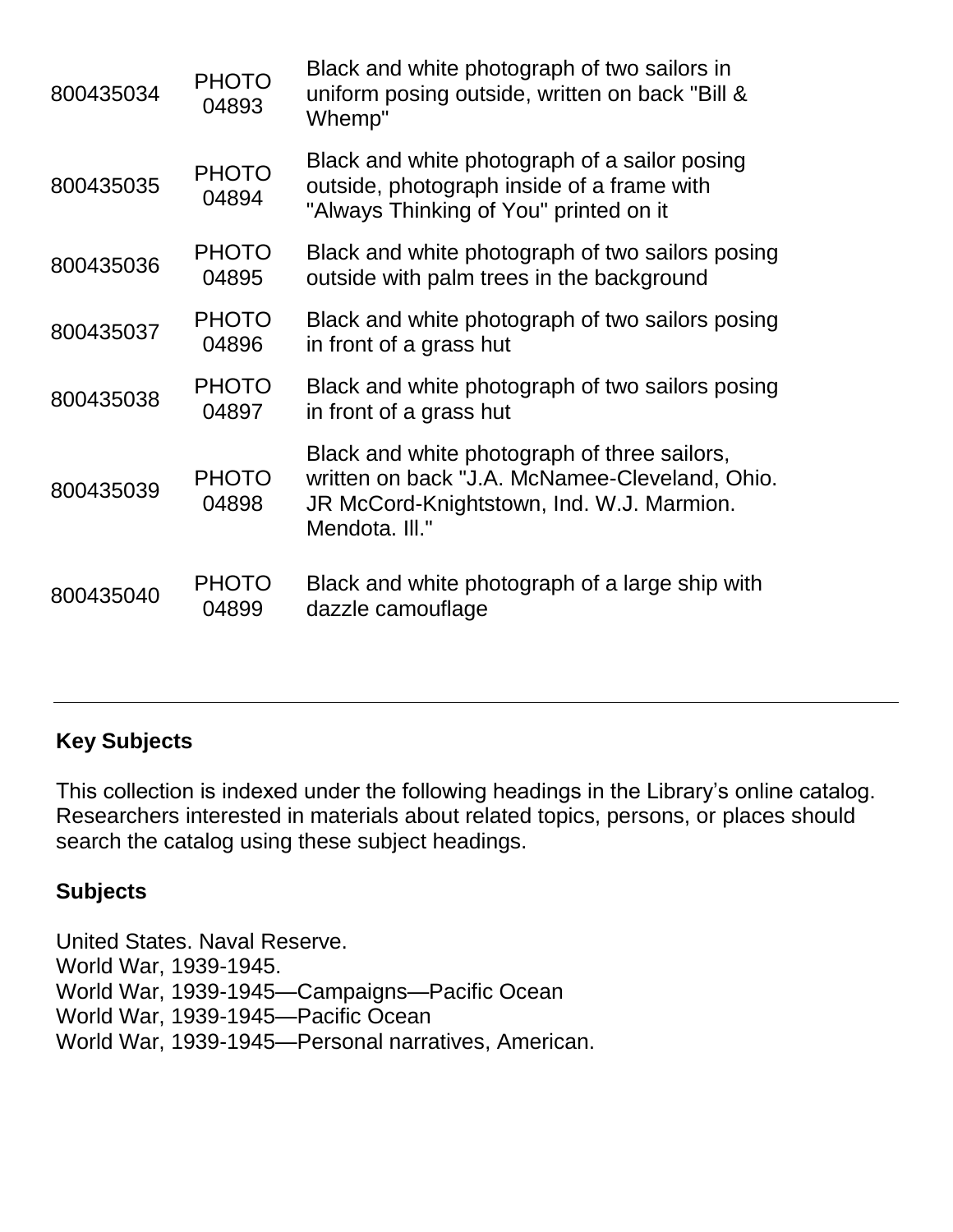| 800435034 | <b>PHOTO</b><br>04893 | Black and white photograph of two sailors in<br>uniform posing outside, written on back "Bill &<br>Whemp"                                                     |
|-----------|-----------------------|---------------------------------------------------------------------------------------------------------------------------------------------------------------|
| 800435035 | <b>PHOTO</b><br>04894 | Black and white photograph of a sailor posing<br>outside, photograph inside of a frame with<br>"Always Thinking of You" printed on it                         |
| 800435036 | <b>PHOTO</b><br>04895 | Black and white photograph of two sailors posing<br>outside with palm trees in the background                                                                 |
| 800435037 | <b>PHOTO</b><br>04896 | Black and white photograph of two sailors posing<br>in front of a grass hut                                                                                   |
| 800435038 | <b>PHOTO</b><br>04897 | Black and white photograph of two sailors posing<br>in front of a grass hut                                                                                   |
| 800435039 | <b>PHOTO</b><br>04898 | Black and white photograph of three sailors,<br>written on back "J.A. McNamee-Cleveland, Ohio.<br>JR McCord-Knightstown, Ind. W.J. Marmion.<br>Mendota. III." |
| 800435040 | <b>PHOTO</b><br>04899 | Black and white photograph of a large ship with<br>dazzle camouflage                                                                                          |

## **Key Subjects**

This collection is indexed under the following headings in the Library's online catalog. Researchers interested in materials about related topics, persons, or places should search the catalog using these subject headings.

#### **Subjects**

United States. Naval Reserve. World War, 1939-1945. World War, 1939-1945—Campaigns—Pacific Ocean World War, 1939-1945—Pacific Ocean World War, 1939-1945—Personal narratives, American.